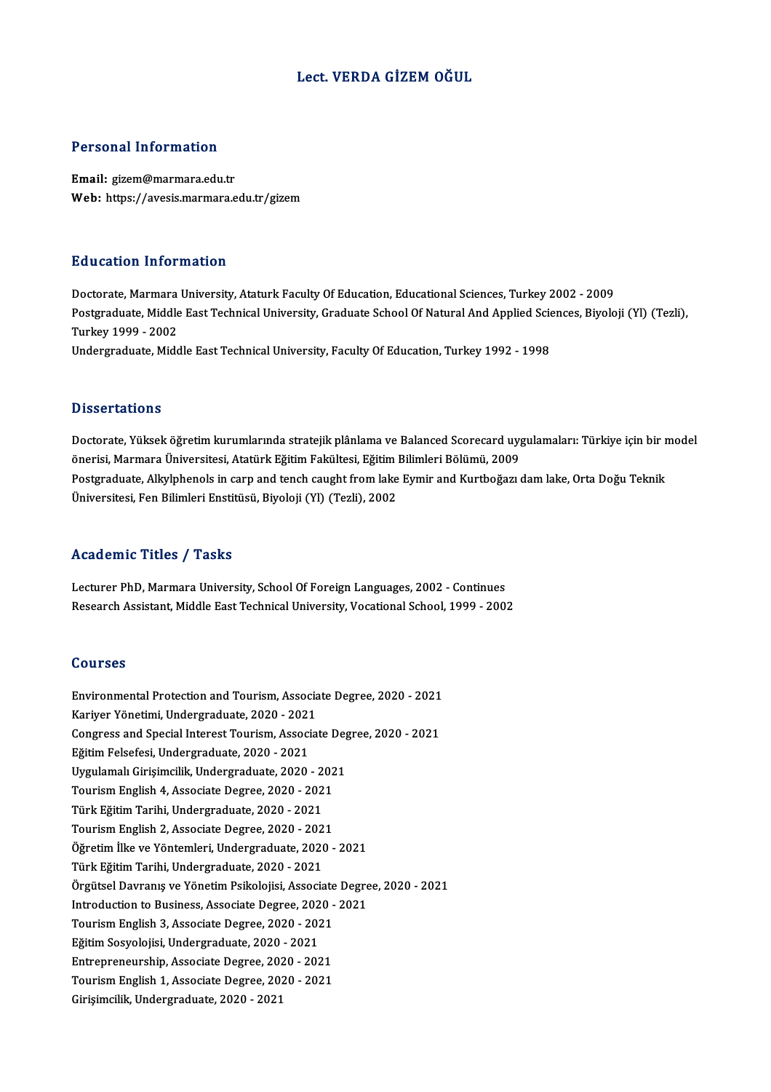### Lect. VERDA GİZEM OĞUL

### Personal Information

Email: gizem@marmara.edu.tr Web: https://avesis.marmara.edu.tr/gizem

### Education Information

E<mark>ducation Information</mark><br>Doctorate, Marmara University, Ataturk Faculty Of Education, Educational Sciences, Turkey 2002 - 2009<br>Postsraduate Middle Fast Technical University, Craduate School Of Natural And Applied Sciences, Postgraduate, Middle East Technical University, Graduate School Of Natural And Applied Sciences, Biyoloji (Yl) (Tezli),<br>Turkey 1999 - 2002 Doctorate, Marmara<br>Postgraduate, Middle<br>Turkey 1999 - 2002<br>Undergraduate, Mide Undergraduate, Middle East Technical University, Faculty Of Education, Turkey 1992 - 1998

### **Dissertations**

Dissertations<br>Doctorate, Yüksek öğretim kurumlarında stratejik plânlama ve Balanced Scorecard uygulamaları: Türkiye için bir<br>Önerisi Marmara Üniversitesi, Atatürk Făttim Fakültesi, Făttim Bilimleri Bölümü, 2009 önsser tatronis<br>Doctorate, Yüksek öğretim kurumlarında stratejik plânlama ve Balanced Scorecard uyg<br>Önerisi, Marmara Üniversitesi, Atatürk Eğitim Fakültesi, Eğitim Bilimleri Bölümü, 2009<br>Postsraduata, Allulphanak in sarn a Doctorate, Yüksek öğretim kurumlarında stratejik plânlama ve Balanced Scorecard uygulamaları: Türkiye için bir<br>önerisi, Marmara Üniversitesi, Atatürk Eğitim Fakültesi, Eğitim Bilimleri Bölümü, 2009<br>Postgraduate, Alkylpheno önerisi, Marmara Üniversitesi, Atatürk Eğitim Fakültesi, Eğitim l<br>Postgraduate, Alkylphenols in carp and tench caught from lake<br>Üniversitesi, Fen Bilimleri Enstitüsü, Biyoloji (Yl) (Tezli), 2002 Üniversitesi, Fen Bilimleri Enstitüsü, Biyoloji (Yl) (Tezli), 2002<br>Academic Titles / Tasks

**Academic Titles / Tasks<br>Lecturer PhD, Marmara University, School Of Foreign Languages, 2002 - Continues<br>Besearsh Assistant Middle Fest Technical University, Vesstianal School, 1999 - 2003** recutrement Presery Public<br>Lecturer PhD, Marmara University, School Of Foreign Languages, 2002 - Continues<br>Research Assistant, Middle East Technical University, Vocational School, 1999 - 2002 Research Assistant, Middle East Technical University, Vocational School, 1999 - 2002<br>Courses

Courses<br>Environmental Protection and Tourism, Associate Degree, 2020 - 2021<br>Kariver Vänstimi, Undergraduste, 2020 - 2021 Sourbes<br>Environmental Protection and Tourism, Associa<br>Kariyer Yönetimi, Undergraduate, 2020 - 2021<br>Congress and Spocial Interect Tourism, Associa Environmental Protection and Tourism, Associate Degree, 2020 - 2021<br>Kariyer Yönetimi, Undergraduate, 2020 - 2021<br>Congress and Special Interest Tourism, Associate Degree, 2020 - 2021<br>Făitim Felecfesi Undergraduate, 2020 - 2 Kariyer Yönetimi, Undergraduate, 2020 - 2021<br>Congress and Special Interest Tourism, Associ<br>Eğitim Felsefesi, Undergraduate, 2020 - 2021<br>Urgulamal: Cirisimgilik Undergraduate, 2020 Congress and Special Interest Tourism, Associate Deg<br>Eğitim Felsefesi, Undergraduate, 2020 - 2021<br>Uygulamalı Girişimcilik, Undergraduate, 2020 - 2021<br>Touriam English 4, Associate Degree, 2020 - 2021 Eğitim Felsefesi, Undergraduate, 2020 - 2021<br>Uygulamalı Girişimcilik, Undergraduate, 2020 - 202<br>Tourism English 4, Associate Degree, 2020 - 2021<br>Türk Eğitim Tarihi, Undergraduate, 2020 - 2021 Uygulamalı Girişimcilik, Undergraduate, 2020 - 2<br>Tourism English 4, Associate Degree, 2020 - 202<br>Türk Eğitim Tarihi, Undergraduate, 2020 - 2021<br>Tourism English 2, Associate Degree, 2020 - 202 Tourism English 4, Associate Degree, 2020 - 2021<br>Türk Eğitim Tarihi, Undergraduate, 2020 - 2021<br>Tourism English 2, Associate Degree, 2020 - 2021<br>Öğretim İlke ve Väntemleri, Undergraduate, 2020 Türk Eğitim Tarihi, Undergraduate, 2020 - 2021<br>Tourism English 2, Associate Degree, 2020 - 2021<br>Öğretim İlke ve Yöntemleri, Undergraduate, 2020 - 2021<br>Türk Eğitim Tarihi, Undergraduate, 2020 - 2021 Tourism English 2, Associate Degree, 2020 - 202<br>Öğretim İlke ve Yöntemleri, Undergraduate, 2020<br>Türk Eğitim Tarihi, Undergraduate, 2020 - 2021<br>Örgütsel Devrenye ve Yönetim Beikeleijsi, Associa Öğretim İlke ve Yöntemleri, Undergraduate, 2020 - 2021<br>Türk Eğitim Tarihi, Undergraduate, 2020 - 2021<br>Örgütsel Davranış ve Yönetim Psikolojisi, Associate Degree, 2020 - 2021<br>Introduction te Business, Associate Degree, 2020 Türk Eğitim Tarihi, Undergraduate, 2020 - 2021<br>Örgütsel Davranış ve Yönetim Psikolojisi, Associate Degre<br>Introduction to Business, Associate Degree, 2020 - 2021<br>Touriam English 2. Associate Degree, 2020 - 2021 Örgütsel Davranış ve Yönetim Psikolojisi, Associate<br>Introduction to Business, Associate Degree, 2020 -<br>Tourism English 3, Associate Degree, 2020 - 2021<br>Fğitim Sosyolojisi, Undergraduate, 2020, 2021 Introduction to Business, Associate Degree, 202<br>Tourism English 3, Associate Degree, 2020 - 202<br>Eğitim Sosyolojisi, Undergraduate, 2020 - 2021<br>Entrepreneurship, Associate Degree, 2020 - 202 Tourism English 3, Associate Degree, 2020 - 2021<br>Eğitim Sosyolojisi, Undergraduate, 2020 - 2021<br>Entrepreneurship, Associate Degree, 2020 - 2021<br>Tourism English 1, Associate Degree, 2020 - 2021 Eğitim Sosyolojisi, Undergraduate, 2020 - 2021<br>Entrepreneurship, Associate Degree, 2020 - 2021<br>Tourism English 1, Associate Degree, 2020 - 2021<br>Cirisimallik Undergraduate 2020 - 2021 Entrepreneurship, Associate Degree, 2020 - 2021<br>Tourism English 1, Associate Degree, 2020 - 2021<br>Girişimcilik, Undergraduate, 2020 - 2021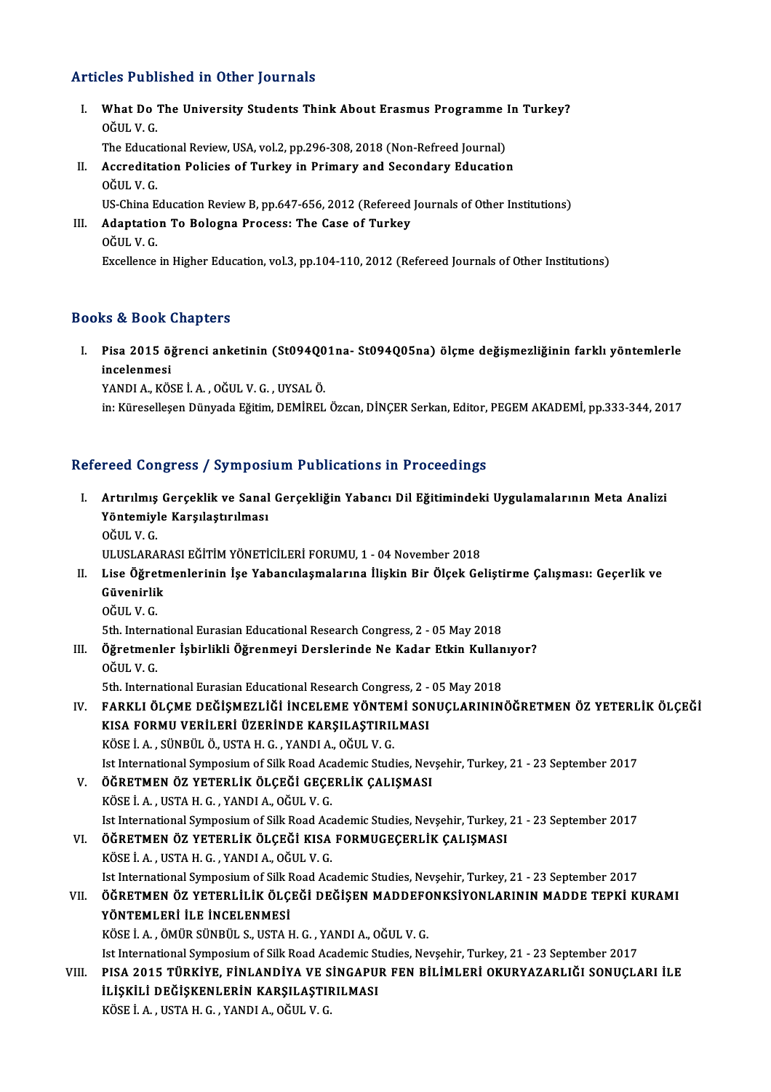# Articles Published in Other Journals

I. What Do The University Students Think About Erasmus Programme In Turkey? Mat Do<br>What Do<br>OĞUL V. G.<br>The Educat OĞUL V. G.<br>The Educational Review, USA, vol.2, pp.296-308, 2018 (Non-Refreed Journal)

- OĞUL V. G.<br>The Educational Review, USA, vol.2, pp.296-308, 2018 (Non-Refreed Journal)<br>II. Accreditation Policies of Turkey in Primary and Secondary Education<br>OĞUL V. C The Educat<br>Accredita<br>OĞUL V. G.<br>US China E Accreditation Policies of Turkey in Primary and Secondary Education<br>OĞUL V. G.<br>US-China Education Review B, pp.647-656, 2012 (Refereed Journals of Other Institutions)<br>Adaptation Te Bolegna Progess: The Case of Turkey
- OĞUL V. G.<br>US-China Education Review B, pp.647-656, 2012 (Refereed<br>III. Adaptation To Bologna Process: The Case of Turkey<br>OĞUL V. G. US-China E<br>Adaptatio<br>OĞUL V. G.<br>Eveellanee Excellence in Higher Education, vol.3, pp.104-110, 2012 (Refereed Journals of Other Institutions)

# Books&Book Chapters

ooks & Book Chapters<br>I. Pisa 2015 öğrenci anketinin (St094Q01na- St094Q05na) ölçme değişmezliğinin farklı yöntemlerle<br>inselenmesi is & Boon<br>Pisa 2015 ö<sub>i</sub><br>incelenmesi<br>VANDI A. *V*ÖS Pisa 2015 öğrenci anketinin (St094Q0<br>incelenmesi<br>YANDI A., KÖSE İ. A. , OĞUL V. G. , UYSAL Ö.<br>in: Kürssellesen Dünyade Eğitim DEMİBEL incelenmesi<br>YANDI A., KÖSE İ. A. , OĞUL V. G. , UYSAL Ö.<br>in: Küreselleşen Dünyada Eğitim, DEMİREL Özcan, DİNÇER Serkan, Editor, PEGEM AKADEMİ, pp.333-344, 2017

# Refereed Congress / Symposium Publications in Proceedings

- efereed Congress / Symposium Publications in Proceedings<br>I. Artırılmış Gerçeklik ve Sanal Gerçekliğin Yabancı Dil Eğitimindeki Uygulamalarının Meta Analizi<br>Xöntemiyle Kanalastınılması Yöcu Göngress 7 symposi<br>Artırılmış Gerçeklik ve Sanal<br>Yöntemiyle Karşılaştırılması Artırıl<mark>mış</mark><br>Yöntemiyl<br>OĞUL V. G.<br>ULUSLARA Yöntemiyle Karşılaştırılması<br>OĞUL V. G.<br>ULUSLARARASI EĞİTİM YÖNETİCİLERİ FORUMU, 1 - 04 November 2018<br>Lise Öğretmenlerinin İse Yabangılaşmalarına İlişkin Bir Ölsek Ce
	-
- OĞUL V. G.<br>ULUSLARARASI EĞİTİM YÖNETİCİLERİ FORUMU, 1 04 November 2018<br>II. Lise Öğretmenlerinin İşe Yabancılaşmalarına İlişkin Bir Ölçek Geliştirme Çalışması: Geçerlik ve<br>Cüyenirlik ULUSLARAR<br>Lise Öğretr<br>Güvenirlik<br>OĞUL V.C Lise Öğre<br>Güvenirlil<br>OĞUL V.G.<br>Eth Intern Güvenirlik<br>OĞUL V. G.<br>5th. International Eurasian Educational Research Congress, 2 - 05 May 2018
	-

OĞUL V. G.<br>5th. International Eurasian Educational Research Congress, 2 - 05 May 2018<br>III. Öğretmenler İşbirlikli Öğrenmeyi Derslerinde Ne Kadar Etkin Kullanıyor?<br>Oğul V. C 5th. Interna<br>Öğretmen<br>OĞUL V. G.<br>Eth. Interna Öğretmenler İşbirlikli Öğrenmeyi Derslerinde Ne Kadar Etkin Kullan<br>OĞUL V. G.<br>5th. International Eurasian Educational Research Congress, 2 - 05 May 2018<br>FARKLLÖLGAR DEĞİSMEZLİĞİ İNGELEME VÖNTEMİ SONUCLARININ

OĞUL V. G.<br>5th. International Eurasian Educational Research Congress, 2 - 05 May 2018<br>IV. FARKLI ÖLÇME DEĞİŞMEZLİĞİ İNCELEME YÖNTEMİ SONUÇLARININÖĞRETMEN ÖZ YETERLİK ÖLÇEĞİ KISA FORMU VERİLERİ ÜZERİNDE KARŞILAŞTIRILMASI KÖSEİ.A. ,SÜNBÜLÖ.,USTAH.G. ,YANDIA.,OĞULV.G. KISA FORMU VERİLERİ ÜZERİNDE KARŞILAŞTIRILMASI<br>KÖSE İ. A. , SÜNBÜL Ö., USTA H. G. , YANDI A., OĞUL V. G.<br>Ist International Symposium of Silk Road Academic Studies, Nevşehir, Turkey, 21 - 23 September 2017<br>ÖĞPETMEN ÖZ VETER

- KÖSE İ. A. , SÜNBÜL Ö., USTA H. G. , YANDI A., OĞUL V. G.<br>Ist International Symposium of Silk Road Academic Studies, Nev<br>V. ÖĞRETMEN ÖZ YETERLİK ÖLÇEĞİ GEÇERLİK ÇALIŞMASI<br>VÖSE İ. A. USTA H. G. YANDI A. OĞUL V. C V. ÖĞRETMEN ÖZ YETERLIK ÖLÇEĞI GEÇERLIK ÇALIŞMASI<br>KÖSE İ. A. , USTA H. G. , YANDI A., OĞUL V. G. Ist International Symposium of Silk Road Academic Studies, Nevşehir, Turkey, 21 - 23 September 2017
- VI. ÖĞRETMEN ÖZ YETERLİK ÖLÇEĞİ KISA FORMUGEÇERLİK ÇALIŞMASI KÖSEİ.A. ,USTAH.G. ,YANDIA.,OĞULV.G. Ist International Symposium of Silk Road Academic Studies, Nevşehir, Turkey, 21 - 23 September 2017

KÖSE İ. A. , USTA H. G. , YANDI A., OĞUL V. G.<br>Ist International Symposium of Silk Road Academic Studies, Nevşehir, Turkey, 21 - 23 September 2017<br>VII. ÖĞRETMEN ÖZ YETERLİLİK ÖLÇEĞİ DEĞİŞEN MADDEFONKSİYONLARININ MADDE ÖĞRETMEN ÖZ YETERLİLİK ÖLÇEĞİ DEĞİŞEN MADDEFC<br>YÖNTEMLERİ İLE İNCELENMESİ<br>KÖSE İ. A. , ÖMÜR SÜNBÜL S., USTA H. G. , YANDI A., OĞUL V. G.<br>Ist International Sumnesium of Sill: Boad Asademis Studies, Ne

YÖNTEMLERİ İLE İNCELENMESİ<br>KÖSE İ. A. , ÖMÜR SÜNBÜL S., USTA H. G. , YANDI A., OĞUL V. G.

Ist International Symposium of Silk Road Academic Studies, Nevsehir, Turkey, 21 - 23 September 2017 KÖSE İ. A. , ÖMÜR SÜNBÜL S., USTA H. G. , YANDI A., OĞUL V. G.<br>Ist International Symposium of Silk Road Academic Studies, Nevşehir, Turkey, 21 - 23 September 2017<br>VIII. PISA 2015 TÜRKİYE, FİNLANDİYA VE SİNGAPUR FEN BİL Ist International Symposium of Silk Road Academic St<br>PISA 2015 TÜRKİYE, FİNLANDİYA VE SİNGAPU!<br>İLİŞKİLİ DEĞİŞKENLERİN KARŞILAŞTIRILMASI<br>KÖSE İ A. USTA H.G. XANDI A. QĞUL V.G PISA 2015 TÜRKİYE, FİNLANDİYA VE S<br>İLİŞKİLİ DEĞİŞKENLERİN KARŞILAŞTIF<br>KÖSE İ. A. , USTA H. G. , YANDI A., OĞUL V. G.